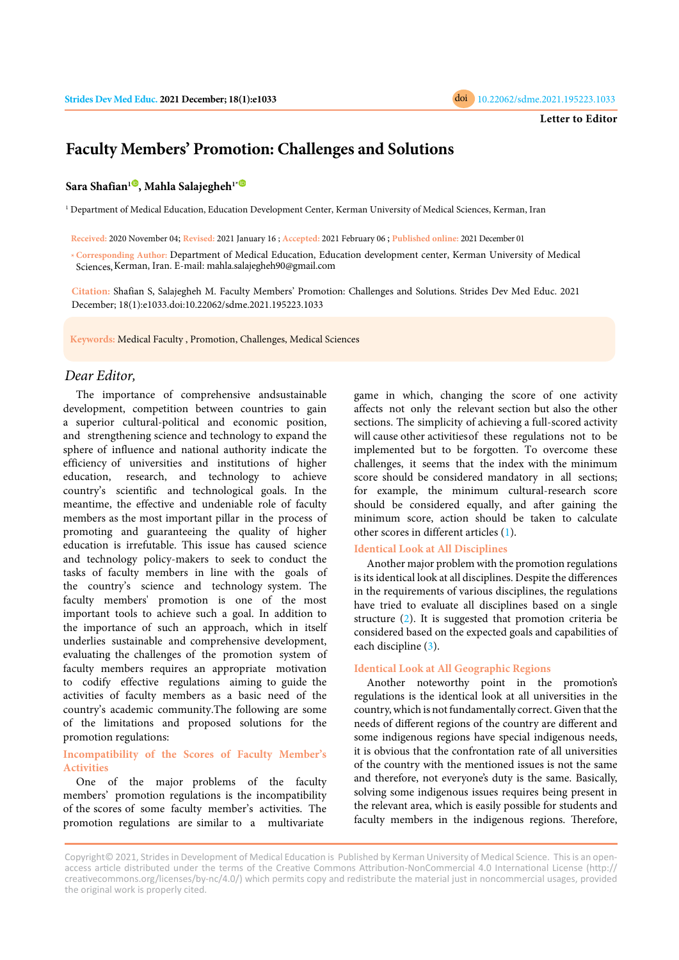

# **Faculty Members' Promotion: Challenges and Solutions**

## **Sara Shafian[1](https://orcid.org/0000-0002-8008-1511) , Mahla Salajegheh<sup>1</sup>[\\*](https://orcid.org/0000-0003-0651-3467)**

1 Department of Medical Education, Education Development Center, Kerman University of Medical Sciences, Kerman, Iran

**Received:** 2020 November 04; **Revised:** 2021 January 16 ; **Accepted:** 2021 February 06 ; **Published online:** 2021 December 01

**\*Corresponding Author:** Department of Medical Education, Education development center, Kerman University of Medical Sciences, Kerman, Iran. E-mail: mahla.salajegheh90@gmail.com

**Citation:** Shafian S, Salajegheh M. Faculty Members' Promotion: Challenges and Solutions. Strides Dev Med Educ. 2021 December; 18(1):e1033.doi:10.22062/sdme.2021.195223.1033

**Keywords:** Medical Faculty , Promotion, Challenges, Medical Sciences

## *Dear Editor,*

The importance of comprehensive andsustainable development, competition between countries to gain a superior cultural-political and economic position, and strengthening science and technology to expand the sphere of influence and national authority indicate the efficiency of universities and institutions of higher education, research, and technology to achieve country's scientific and technological goals. In the meantime, the effective and undeniable role of faculty members as the most important pillar in the process of promoting and guaranteeing the quality of higher education is irrefutable. This issue has caused science and technology policy-makers to seek to conduct the tasks of faculty members in line with the goals of the country's science and technology system. The faculty members' promotion is one of the most important tools to achieve such a goal. In addition to the importance of such an approach, which in itself underlies sustainable and comprehensive development, evaluating the challenges of the promotion system of faculty members requires an appropriate motivation to codify effective regulations aiming to guide the activities of faculty members as a basic need of the country's academic community.The following are some of the limitations and proposed solutions for the promotion regulations:

# **Incompatibility of the Scores of Faculty Member's Activities**

One of the major problems of the faculty members' promotion regulations is the incompatibility of the scores of some faculty member's activities. The promotion regulations are similar to a multivariate

game in which, changing the score of one activity affects not only the relevant section but also the other sections. The simplicity of achieving a full-scored activity will cause other activities of these regulations not to be implemented but to be forgotten. To overcome these challenges, it seems that the index with the minimum score should be considered mandatory in all sections; for example, the minimum cultural-research score should be considered equally, and after gaining the minimum score, action should be taken [t](#page-1-0)o calculate other scores in different articles (1).

### **Identical Look at All Disciplines**

Another major problem with the promotion regulations is its identical look at all disciplines. Despite the differences in the requirements of various disciplines, the regulations have tried to evaluate all disciplines based on a single structure [\(2\)](#page-1-0). It is suggested that promotion criteria be considered based on the expected goals and capabilities of each discipline [\(3\)](#page-1-0).

## **Identical Look at All Geographic Regions**

Another noteworthy point in the promotion's regulations is the identical look at all universities in the country, which is not fundamentally correct. Given that the needs of different regions of the country are different and some indigenous regions have special indigenous needs, it is obvious that the confrontation rate of all universities of the country with the mentioned issues is not the same and therefore, not everyone's duty is the same. Basically, solving some indigenous issues requires being present in the relevant area, which is easily possible for students and faculty members in the indigenous regions. Therefore,

Copyright© 2021, Strides in Development of Medical Education is Published by Kerman University of Medical Science. This is an openaccess article distributed under the terms of the Creative Commons Attribution-NonCommercial 4.0 International License (http:// creativecommons.org/licenses/by-nc/4.0/) which permits copy and redistribute the material just in noncommercial usages, provided the original work is properly cited.